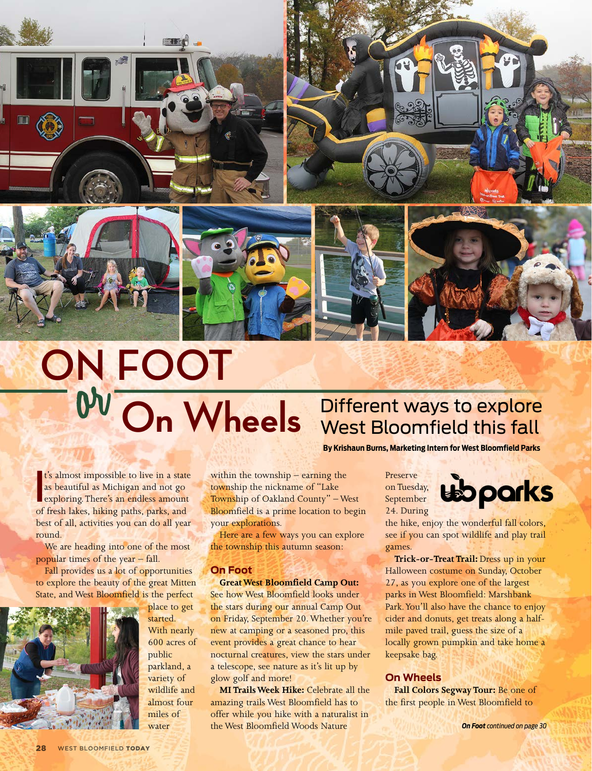







## **ON FOOT**

**I** t's almost impossible to live in a state as beautiful as Michigan and not go exploring. There's an endless amount of fresh lakes, hiking paths, parks, and best of all, activities you can do all year round.

We are heading into one of the most popular times of the year – fall.

Fall provides us a lot of opportunities to explore the beauty of the great Mitten State, and West Bloomfield is the perfect



place to get started. With nearly 600 acres of public parkland, a variety of wildlife and almost four miles of water

within the township – earning the township the nickname of "Lake Township of Oakland County" – West Bloomfield is a prime location to begin your explorations.

Here are a few ways you can explore the township this autumn season:

## **On Foot**

**Great West Bloomfield Camp Out:** See how West Bloomfield looks under the stars during our annual Camp Out on Friday, September 20. Whether you're new at camping or a seasoned pro, this event provides a great chance to hear nocturnal creatures, view the stars under a telescope, see nature as it's lit up by glow golf and more!

**MI Trails Week Hike:** Celebrate all the amazing trails West Bloomfield has to offer while you hike with a naturalist in the West Bloomfield Woods Nature

**On Wheels** Different ways to explore Wheels West Bloomfield this fall West Bloomfield this fall

**By Krishaun Burns, Marketing Intern for West Bloomfield Parks**

Preserve on Tuesday, September 24. During



the hike, enjoy the wonderful fall colors, see if you can spot wildlife and play trail games.

**Trick-or-Treat Trail:** Dress up in your Halloween costume on Sunday, October 27, as you explore one of the largest parks in West Bloomfield: Marshbank Park. You'll also have the chance to enjoy cider and donuts, get treats along a halfmile paved trail, guess the size of a locally grown pumpkin and take home a keepsake bag.

## **On Wheels**

**Fall Colors Segway Tour:** Be one of the first people in West Bloomfield to